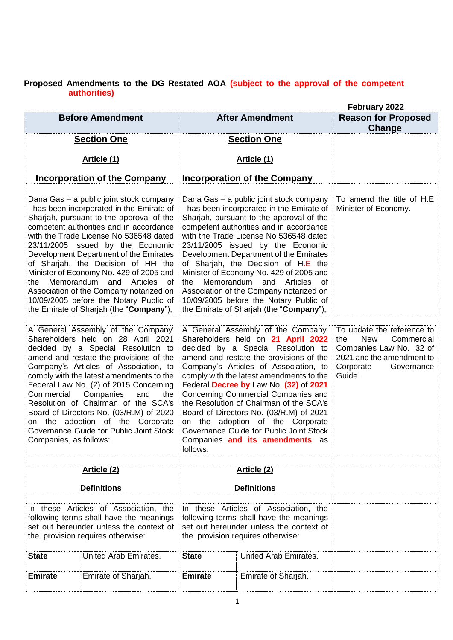## **Proposed Amendments to the DG Restated AOA (subject to the approval of the competent authorities)**

|                                      |                                                                                                                                                                                                                                                                                                                                                                                                                                                                                                                                                        |                |                                                                                                                                                                                                                                                                                                                                                                                                                                                                                                                                                      | February 2022                                                                                                                                              |
|--------------------------------------|--------------------------------------------------------------------------------------------------------------------------------------------------------------------------------------------------------------------------------------------------------------------------------------------------------------------------------------------------------------------------------------------------------------------------------------------------------------------------------------------------------------------------------------------------------|----------------|------------------------------------------------------------------------------------------------------------------------------------------------------------------------------------------------------------------------------------------------------------------------------------------------------------------------------------------------------------------------------------------------------------------------------------------------------------------------------------------------------------------------------------------------------|------------------------------------------------------------------------------------------------------------------------------------------------------------|
|                                      | <b>Before Amendment</b>                                                                                                                                                                                                                                                                                                                                                                                                                                                                                                                                |                | <b>After Amendment</b>                                                                                                                                                                                                                                                                                                                                                                                                                                                                                                                               | <b>Reason for Proposed</b>                                                                                                                                 |
|                                      |                                                                                                                                                                                                                                                                                                                                                                                                                                                                                                                                                        |                |                                                                                                                                                                                                                                                                                                                                                                                                                                                                                                                                                      | Change                                                                                                                                                     |
|                                      | <b>Section One</b>                                                                                                                                                                                                                                                                                                                                                                                                                                                                                                                                     |                | <b>Section One</b>                                                                                                                                                                                                                                                                                                                                                                                                                                                                                                                                   |                                                                                                                                                            |
|                                      | Article (1)                                                                                                                                                                                                                                                                                                                                                                                                                                                                                                                                            |                | Article (1)                                                                                                                                                                                                                                                                                                                                                                                                                                                                                                                                          |                                                                                                                                                            |
|                                      |                                                                                                                                                                                                                                                                                                                                                                                                                                                                                                                                                        |                |                                                                                                                                                                                                                                                                                                                                                                                                                                                                                                                                                      |                                                                                                                                                            |
|                                      | <b>Incorporation of the Company</b>                                                                                                                                                                                                                                                                                                                                                                                                                                                                                                                    |                | <b>Incorporation of the Company</b>                                                                                                                                                                                                                                                                                                                                                                                                                                                                                                                  |                                                                                                                                                            |
|                                      |                                                                                                                                                                                                                                                                                                                                                                                                                                                                                                                                                        |                |                                                                                                                                                                                                                                                                                                                                                                                                                                                                                                                                                      |                                                                                                                                                            |
| the                                  | Dana Gas - a public joint stock company<br>- has been incorporated in the Emirate of<br>Sharjah, pursuant to the approval of the<br>competent authorities and in accordance<br>with the Trade License No 536548 dated<br>23/11/2005 issued by the Economic<br>Development Department of the Emirates<br>of Sharjah, the Decision of HH the<br>Minister of Economy No. 429 of 2005 and<br>Memorandum and Articles<br>of<br>Association of the Company notarized on<br>10/09/2005 before the Notary Public of<br>the Emirate of Sharjah (the "Company"), | the            | Dana Gas - a public joint stock company<br>- has been incorporated in the Emirate of<br>Sharjah, pursuant to the approval of the<br>competent authorities and in accordance<br>with the Trade License No 536548 dated<br>23/11/2005 issued by the Economic<br>Development Department of the Emirates<br>of Sharjah, the Decision of H.E the<br>Minister of Economy No. 429 of 2005 and<br>Memorandum and Articles of<br>Association of the Company notarized on<br>10/09/2005 before the Notary Public of<br>the Emirate of Sharjah (the "Company"), | To amend the title of H.E.<br>Minister of Economy.                                                                                                         |
| Commercial<br>Companies, as follows: | A General Assembly of the Company'<br>Shareholders held on 28 April 2021<br>decided by a Special Resolution to<br>amend and restate the provisions of the<br>Company's Articles of Association, to<br>comply with the latest amendments to the<br>Federal Law No. (2) of 2015 Concerning<br>Companies<br>and<br>the<br>Resolution of Chairman of the SCA's<br>Board of Directors No. (03/R.M) of 2020<br>on the adoption of the Corporate<br>Governance Guide for Public Joint Stock                                                                   | follows:       | A General Assembly of the Company'<br>Shareholders held on 21 April 2022<br>decided by a Special Resolution to<br>amend and restate the provisions of the<br>Company's Articles of Association, to<br>comply with the latest amendments to the<br>Federal Decree by Law No. (32) of 2021<br>Concerning Commercial Companies and<br>the Resolution of Chairman of the SCA's<br>Board of Directors No. (03/R.M) of 2021<br>on the adoption of the Corporate<br>Governance Guide for Public Joint Stock<br>Companies and its amendments, as             | To update the reference to<br><b>New</b><br>Commercial<br>the<br>Companies Law No. 32 of<br>2021 and the amendment to<br>Corporate<br>Governance<br>Guide. |
|                                      |                                                                                                                                                                                                                                                                                                                                                                                                                                                                                                                                                        |                |                                                                                                                                                                                                                                                                                                                                                                                                                                                                                                                                                      |                                                                                                                                                            |
|                                      | Article (2)                                                                                                                                                                                                                                                                                                                                                                                                                                                                                                                                            |                | Article (2)                                                                                                                                                                                                                                                                                                                                                                                                                                                                                                                                          |                                                                                                                                                            |
|                                      | <b>Definitions</b>                                                                                                                                                                                                                                                                                                                                                                                                                                                                                                                                     |                | <b>Definitions</b>                                                                                                                                                                                                                                                                                                                                                                                                                                                                                                                                   |                                                                                                                                                            |
|                                      |                                                                                                                                                                                                                                                                                                                                                                                                                                                                                                                                                        |                |                                                                                                                                                                                                                                                                                                                                                                                                                                                                                                                                                      |                                                                                                                                                            |
|                                      | In these Articles of Association, the<br>following terms shall have the meanings                                                                                                                                                                                                                                                                                                                                                                                                                                                                       |                | In these Articles of Association, the<br>following terms shall have the meanings                                                                                                                                                                                                                                                                                                                                                                                                                                                                     |                                                                                                                                                            |
|                                      | set out hereunder unless the context of                                                                                                                                                                                                                                                                                                                                                                                                                                                                                                                |                | set out hereunder unless the context of                                                                                                                                                                                                                                                                                                                                                                                                                                                                                                              |                                                                                                                                                            |
|                                      | the provision requires otherwise:                                                                                                                                                                                                                                                                                                                                                                                                                                                                                                                      |                | the provision requires otherwise:                                                                                                                                                                                                                                                                                                                                                                                                                                                                                                                    |                                                                                                                                                            |
| <b>State</b>                         | United Arab Emirates.                                                                                                                                                                                                                                                                                                                                                                                                                                                                                                                                  | <b>State</b>   | United Arab Emirates.                                                                                                                                                                                                                                                                                                                                                                                                                                                                                                                                |                                                                                                                                                            |
|                                      |                                                                                                                                                                                                                                                                                                                                                                                                                                                                                                                                                        |                |                                                                                                                                                                                                                                                                                                                                                                                                                                                                                                                                                      |                                                                                                                                                            |
| <b>Emirate</b>                       | Emirate of Sharjah.                                                                                                                                                                                                                                                                                                                                                                                                                                                                                                                                    | <b>Emirate</b> | Emirate of Sharjah.                                                                                                                                                                                                                                                                                                                                                                                                                                                                                                                                  |                                                                                                                                                            |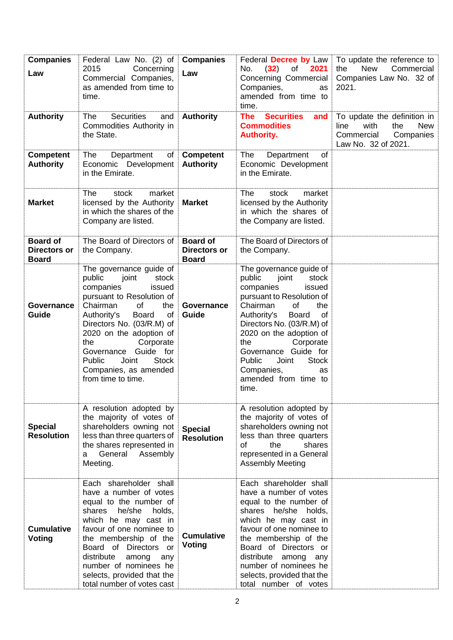| <b>Companies</b><br>Law                                | Federal Law No. (2) of<br>2015<br>Concerning<br>Commercial Companies,<br>as amended from time to<br>time.                                                                                                                                                                                                                                                          | <b>Companies</b><br>Law                                | Federal Decree by Law<br>(32)<br>2021<br>No.<br>of<br>Concerning Commercial<br>Companies,<br>as<br>amended from time to<br>time.                                                                                                                                                                                                                                         | To update the reference to<br><b>New</b><br>Commercial<br>the<br>Companies Law No. 32 of<br>2021.                  |
|--------------------------------------------------------|--------------------------------------------------------------------------------------------------------------------------------------------------------------------------------------------------------------------------------------------------------------------------------------------------------------------------------------------------------------------|--------------------------------------------------------|--------------------------------------------------------------------------------------------------------------------------------------------------------------------------------------------------------------------------------------------------------------------------------------------------------------------------------------------------------------------------|--------------------------------------------------------------------------------------------------------------------|
| <b>Authority</b>                                       | <b>Securities</b><br>The<br>and<br>Commodities Authority in<br>the State.                                                                                                                                                                                                                                                                                          | <b>Authority</b>                                       | <b>The</b><br><b>Securities</b><br>and<br><b>Commodities</b><br><b>Authority.</b>                                                                                                                                                                                                                                                                                        | To update the definition in<br>with<br><b>New</b><br>line<br>the<br>Commercial<br>Companies<br>Law No. 32 of 2021. |
| <b>Competent</b><br><b>Authority</b>                   | The<br>Department<br>of<br>Economic Development<br>in the Emirate.                                                                                                                                                                                                                                                                                                 | <b>Competent</b><br><b>Authority</b>                   | The<br>Department<br><b>of</b><br>Economic Development<br>in the Emirate.                                                                                                                                                                                                                                                                                                |                                                                                                                    |
| <b>Market</b>                                          | market<br>The<br>stock<br>licensed by the Authority<br>in which the shares of the<br>Company are listed.                                                                                                                                                                                                                                                           | <b>Market</b>                                          | <b>The</b><br>stock<br>market<br>licensed by the Authority<br>in which the shares of<br>the Company are listed.                                                                                                                                                                                                                                                          |                                                                                                                    |
| <b>Board of</b><br><b>Directors or</b><br><b>Board</b> | The Board of Directors of<br>the Company.                                                                                                                                                                                                                                                                                                                          | <b>Board of</b><br><b>Directors or</b><br><b>Board</b> | The Board of Directors of<br>the Company.                                                                                                                                                                                                                                                                                                                                |                                                                                                                    |
| Governance<br>Guide                                    | The governance guide of<br>public<br>joint<br>stock<br>companies<br>issued<br>pursuant to Resolution of<br>Chairman<br>of<br>the<br><b>of</b><br>Authority's<br><b>Board</b><br>Directors No. (03/R.M) of<br>2020 on the adoption of<br>Corporate<br>the<br>Governance Guide for<br><b>Stock</b><br>Public<br>Joint<br>Companies, as amended<br>from time to time. | Governance<br>Guide                                    | The governance guide of<br>public<br>joint<br>stock<br>companies<br>issued<br>pursuant to Resolution of<br>Chairman<br>of<br>the<br>Authority's<br><b>of</b><br><b>Board</b><br>Directors No. (03/R.M) of<br>2020 on the adoption of<br>Corporate<br>the<br>Governance Guide for<br>Public<br><b>Stock</b><br>Joint<br>Companies,<br>as<br>amended from time to<br>time. |                                                                                                                    |
| <b>Special</b><br><b>Resolution</b>                    | A resolution adopted by<br>the majority of votes of<br>shareholders owning not<br>less than three quarters of<br>the shares represented in<br>General<br>Assembly<br>a<br>Meeting.                                                                                                                                                                                 | <b>Special</b><br><b>Resolution</b>                    | A resolution adopted by<br>the majority of votes of<br>shareholders owning not<br>less than three quarters<br>of<br>the<br>shares<br>represented in a General<br><b>Assembly Meeting</b>                                                                                                                                                                                 |                                                                                                                    |
| <b>Cumulative</b><br>Voting                            | Each shareholder shall<br>have a number of votes<br>equal to the number of<br>he/she<br>shares<br>holds,<br>which he may cast in<br>favour of one nominee to<br>the membership of the<br>Board of Directors or<br>distribute<br>among<br>any<br>number of nominees he<br>selects, provided that the<br>total number of votes cast                                  | <b>Cumulative</b><br><b>Voting</b>                     | Each shareholder shall<br>have a number of votes<br>equal to the number of<br>shares he/she holds,<br>which he may cast in<br>favour of one nominee to<br>the membership of the<br>Board of Directors or<br>distribute among<br>any<br>number of nominees he<br>selects, provided that the<br>total number of votes                                                      |                                                                                                                    |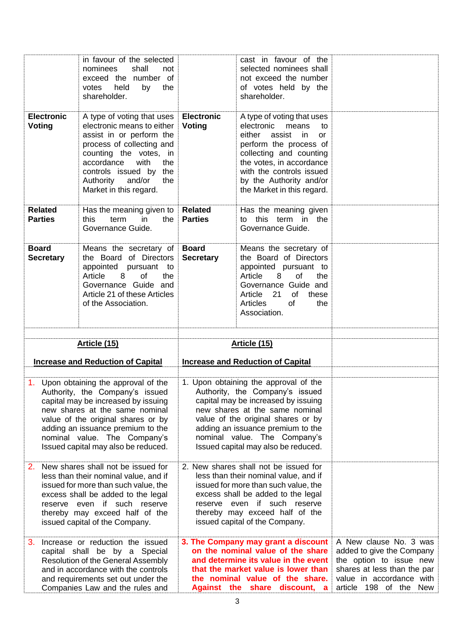|                                    | in favour of the selected<br>nominees<br>shall<br>not<br>exceed the number of<br>votes<br>held<br>by<br>the<br>shareholder.                                                                                                                                                                         |                                    | cast in favour of the<br>selected nominees shall<br>not exceed the number<br>of votes held by the<br>shareholder.                                                                                                                                                                                   |                                                                                                                                                                     |
|------------------------------------|-----------------------------------------------------------------------------------------------------------------------------------------------------------------------------------------------------------------------------------------------------------------------------------------------------|------------------------------------|-----------------------------------------------------------------------------------------------------------------------------------------------------------------------------------------------------------------------------------------------------------------------------------------------------|---------------------------------------------------------------------------------------------------------------------------------------------------------------------|
| <b>Electronic</b><br><b>Voting</b> | A type of voting that uses<br>electronic means to either<br>assist in or perform the<br>process of collecting and<br>counting the votes, in<br>accordance<br>with<br>the<br>controls issued by the<br>Authority and/or<br>the<br>Market in this regard.                                             | <b>Electronic</b><br><b>Voting</b> | A type of voting that uses<br>electronic<br>means<br>to<br>assist<br>either<br>in.<br>or<br>perform the process of<br>collecting and counting<br>the votes, in accordance<br>with the controls issued<br>by the Authority and/or<br>the Market in this regard.                                      |                                                                                                                                                                     |
| <b>Related</b><br><b>Parties</b>   | Has the meaning given to<br>this<br>term<br>in<br>the<br>Governance Guide.                                                                                                                                                                                                                          | <b>Related</b><br><b>Parties</b>   | Has the meaning given<br>to this term in the<br>Governance Guide.                                                                                                                                                                                                                                   |                                                                                                                                                                     |
| <b>Board</b><br><b>Secretary</b>   | Means the secretary of<br>the Board of Directors<br>appointed pursuant to<br>Article<br>8<br>of<br>the<br>Governance Guide and<br>Article 21 of these Articles<br>of the Association.                                                                                                               | <b>Board</b><br><b>Secretary</b>   | Means the secretary of<br>the Board of Directors<br>appointed pursuant to<br>Article<br>8<br>of<br>the<br>Governance Guide and<br>Article 21<br>of<br>these<br>Articles<br>of<br>the<br>Association.                                                                                                |                                                                                                                                                                     |
|                                    | Article (15)                                                                                                                                                                                                                                                                                        |                                    | Article (15)                                                                                                                                                                                                                                                                                        |                                                                                                                                                                     |
|                                    | <b>Increase and Reduction of Capital</b>                                                                                                                                                                                                                                                            |                                    | <b>Increase and Reduction of Capital</b>                                                                                                                                                                                                                                                            |                                                                                                                                                                     |
|                                    | 1. Upon obtaining the approval of the<br>Authority, the Company's issued<br>capital may be increased by issuing<br>new shares at the same nominal<br>value of the original shares or by<br>adding an issuance premium to the<br>nominal value. The Company's<br>Issued capital may also be reduced. |                                    | 1. Upon obtaining the approval of the<br>Authority, the Company's issued<br>capital may be increased by issuing<br>new shares at the same nominal<br>value of the original shares or by<br>adding an issuance premium to the<br>nominal value. The Company's<br>Issued capital may also be reduced. |                                                                                                                                                                     |
| 2.                                 | New shares shall not be issued for<br>less than their nominal value, and if<br>issued for more than such value, the<br>excess shall be added to the legal<br>reserve even if such reserve<br>thereby may exceed half of the<br>issued capital of the Company.                                       |                                    | 2. New shares shall not be issued for<br>less than their nominal value, and if<br>issued for more than such value, the<br>excess shall be added to the legal<br>reserve even if such reserve<br>thereby may exceed half of the<br>issued capital of the Company.                                    |                                                                                                                                                                     |
| 3.                                 | Increase or reduction the issued<br>capital shall be by a Special<br>Resolution of the General Assembly<br>and in accordance with the controls<br>and requirements set out under the<br>Companies Law and the rules and                                                                             |                                    | 3. The Company may grant a discount<br>on the nominal value of the share<br>and determine its value in the event<br>that the market value is lower than<br>the nominal value of the share.<br>Against the share discount, a                                                                         | A New clause No. 3 was<br>added to give the Company<br>the option to issue new<br>shares at less than the par<br>value in accordance with<br>article 198 of the New |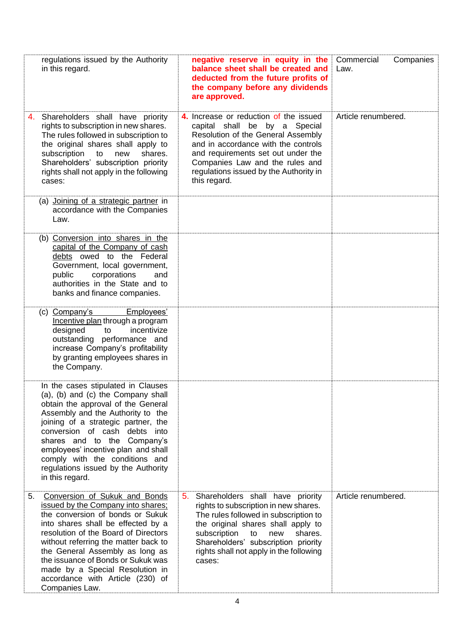| regulations issued by the Authority<br>in this regard.                                                                                                                                                                                                                                                                                                                                                | negative reserve in equity in the<br>balance sheet shall be created and<br>deducted from the future profits of<br>the company before any dividends<br>are approved.                                                                                                                                | Commercial<br>Companies<br>Law. |
|-------------------------------------------------------------------------------------------------------------------------------------------------------------------------------------------------------------------------------------------------------------------------------------------------------------------------------------------------------------------------------------------------------|----------------------------------------------------------------------------------------------------------------------------------------------------------------------------------------------------------------------------------------------------------------------------------------------------|---------------------------------|
| Shareholders shall have priority<br>4.<br>rights to subscription in new shares.<br>The rules followed in subscription to<br>the original shares shall apply to<br>subscription<br>to<br>new<br>shares.<br>Shareholders' subscription priority<br>rights shall not apply in the following<br>cases:                                                                                                    | 4. Increase or reduction of the issued<br>capital shall be by a Special<br>Resolution of the General Assembly<br>and in accordance with the controls<br>and requirements set out under the<br>Companies Law and the rules and<br>regulations issued by the Authority in<br>this regard.            | Article renumbered.             |
| (a) Joining of a strategic partner in<br>accordance with the Companies<br>Law.                                                                                                                                                                                                                                                                                                                        |                                                                                                                                                                                                                                                                                                    |                                 |
| (b) Conversion into shares in the<br>capital of the Company of cash<br>debts owed to the Federal<br>Government, local government,<br>corporations<br>public<br>and<br>authorities in the State and to<br>banks and finance companies.                                                                                                                                                                 |                                                                                                                                                                                                                                                                                                    |                                 |
| (c) Company's<br>Employees'<br>Incentive plan through a program<br>designed<br>incentivize<br>to<br>outstanding performance and<br>increase Company's profitability<br>by granting employees shares in<br>the Company.                                                                                                                                                                                |                                                                                                                                                                                                                                                                                                    |                                 |
| In the cases stipulated in Clauses<br>(a), (b) and (c) the Company shall<br>obtain the approval of the General<br>Assembly and the Authority to the<br>joining of a strategic partner, the<br>conversion of cash debts into<br>shares and to the Company's<br>employees' incentive plan and shall<br>comply with the conditions and<br>regulations issued by the Authority<br>in this regard.         |                                                                                                                                                                                                                                                                                                    |                                 |
| Conversion of Sukuk and Bonds<br>5.<br>issued by the Company into shares;<br>the conversion of bonds or Sukuk<br>into shares shall be effected by a<br>resolution of the Board of Directors<br>without referring the matter back to<br>the General Assembly as long as<br>the issuance of Bonds or Sukuk was<br>made by a Special Resolution in<br>accordance with Article (230) of<br>Companies Law. | 5.<br>Shareholders shall have priority<br>rights to subscription in new shares.<br>The rules followed in subscription to<br>the original shares shall apply to<br>subscription<br>to<br>new<br>shares.<br>Shareholders' subscription priority<br>rights shall not apply in the following<br>cases: | Article renumbered.             |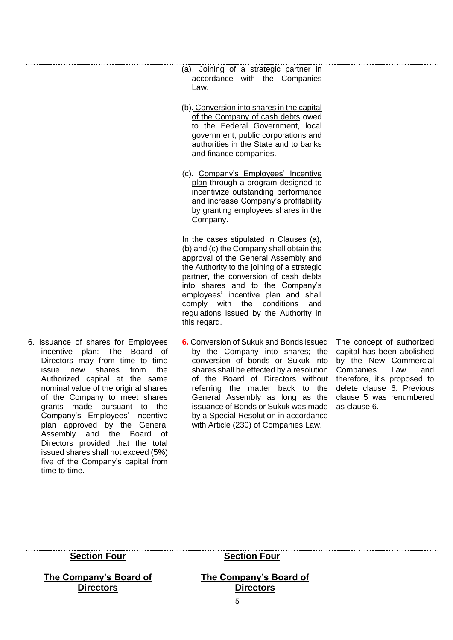|                                                                                                                                                                                                                                                                                                                                                                                                                                                                                                                                      | (a) Joining of a strategic partner in<br>accordance with the Companies<br>Law.                                                                                                                                                                                                                                                                                                                  |                                                                                                                                                                                                                    |
|--------------------------------------------------------------------------------------------------------------------------------------------------------------------------------------------------------------------------------------------------------------------------------------------------------------------------------------------------------------------------------------------------------------------------------------------------------------------------------------------------------------------------------------|-------------------------------------------------------------------------------------------------------------------------------------------------------------------------------------------------------------------------------------------------------------------------------------------------------------------------------------------------------------------------------------------------|--------------------------------------------------------------------------------------------------------------------------------------------------------------------------------------------------------------------|
|                                                                                                                                                                                                                                                                                                                                                                                                                                                                                                                                      | (b). Conversion into shares in the capital<br>of the Company of cash debts owed<br>to the Federal Government, local<br>government, public corporations and<br>authorities in the State and to banks<br>and finance companies.                                                                                                                                                                   |                                                                                                                                                                                                                    |
|                                                                                                                                                                                                                                                                                                                                                                                                                                                                                                                                      | (c). Company's Employees' Incentive<br>plan through a program designed to<br>incentivize outstanding performance<br>and increase Company's profitability<br>by granting employees shares in the<br>Company.                                                                                                                                                                                     |                                                                                                                                                                                                                    |
|                                                                                                                                                                                                                                                                                                                                                                                                                                                                                                                                      | In the cases stipulated in Clauses (a),<br>(b) and (c) the Company shall obtain the<br>approval of the General Assembly and<br>the Authority to the joining of a strategic<br>partner, the conversion of cash debts<br>into shares and to the Company's<br>employees' incentive plan and shall<br>comply with the conditions<br>and<br>regulations issued by the Authority in<br>this regard.   |                                                                                                                                                                                                                    |
| 6. Issuance of shares for Employees<br>The Board<br>incentive plan:<br>of<br>Directors may from time to time<br>shares<br>from<br>the<br>issue<br>new<br>Authorized capital at the same<br>nominal value of the original shares<br>of the Company to meet shares<br>grants made pursuant to the<br>Company's Employees' incentive<br>plan approved by the General<br>Assembly and the Board<br>of<br>Directors provided that the total<br>issued shares shall not exceed (5%)<br>five of the Company's capital from<br>time to time. | 6. Conversion of Sukuk and Bonds issued<br>by the Company into shares; the<br>conversion of bonds or Sukuk into<br>shares shall be effected by a resolution<br>of the Board of Directors without<br>referring the matter back to the<br>General Assembly as long as the<br>issuance of Bonds or Sukuk was made<br>by a Special Resolution in accordance<br>with Article (230) of Companies Law. | The concept of authorized<br>capital has been abolished<br>by the New Commercial<br>Companies<br>Law<br>and<br>therefore, it's proposed to<br>delete clause 6. Previous<br>clause 5 was renumbered<br>as clause 6. |
| <b>Section Four</b>                                                                                                                                                                                                                                                                                                                                                                                                                                                                                                                  | <b>Section Four</b>                                                                                                                                                                                                                                                                                                                                                                             |                                                                                                                                                                                                                    |
| <b>The Company's Board of</b><br><b>Directors</b>                                                                                                                                                                                                                                                                                                                                                                                                                                                                                    | <b>The Company's Board of</b><br><b>Directors</b>                                                                                                                                                                                                                                                                                                                                               |                                                                                                                                                                                                                    |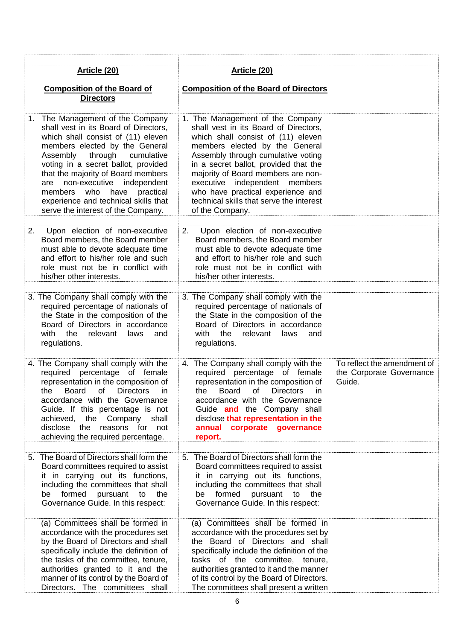|    | Article (20)                                                                                                                                                                                                                                                                                                                                                                                                  | Article (20)                                                                                                                                                                                                                                                                                                                                                                                                |                                                                   |
|----|---------------------------------------------------------------------------------------------------------------------------------------------------------------------------------------------------------------------------------------------------------------------------------------------------------------------------------------------------------------------------------------------------------------|-------------------------------------------------------------------------------------------------------------------------------------------------------------------------------------------------------------------------------------------------------------------------------------------------------------------------------------------------------------------------------------------------------------|-------------------------------------------------------------------|
|    | <b>Composition of the Board of</b>                                                                                                                                                                                                                                                                                                                                                                            | <b>Composition of the Board of Directors</b>                                                                                                                                                                                                                                                                                                                                                                |                                                                   |
|    | <b>Directors</b>                                                                                                                                                                                                                                                                                                                                                                                              |                                                                                                                                                                                                                                                                                                                                                                                                             |                                                                   |
|    | 1. The Management of the Company<br>shall vest in its Board of Directors,<br>which shall consist of (11) eleven<br>members elected by the General<br>Assembly<br>through cumulative<br>voting in a secret ballot, provided<br>that the majority of Board members<br>are non-executive independent<br>members who have practical<br>experience and technical skills that<br>serve the interest of the Company. | 1. The Management of the Company<br>shall vest in its Board of Directors,<br>which shall consist of (11) eleven<br>members elected by the General<br>Assembly through cumulative voting<br>in a secret ballot, provided that the<br>majority of Board members are non-<br>executive independent members<br>who have practical experience and<br>technical skills that serve the interest<br>of the Company. |                                                                   |
| 2. | Upon election of non-executive<br>Board members, the Board member<br>must able to devote adequate time<br>and effort to his/her role and such<br>role must not be in conflict with<br>his/her other interests.                                                                                                                                                                                                | Upon election of non-executive<br>2.<br>Board members, the Board member<br>must able to devote adequate time<br>and effort to his/her role and such<br>role must not be in conflict with<br>his/her other interests.                                                                                                                                                                                        |                                                                   |
|    | 3. The Company shall comply with the<br>required percentage of nationals of<br>the State in the composition of the<br>Board of Directors in accordance<br>with the<br>relevant<br>laws<br>and<br>regulations.                                                                                                                                                                                                 | 3. The Company shall comply with the<br>required percentage of nationals of<br>the State in the composition of the<br>Board of Directors in accordance<br>with<br>the<br>relevant laws<br>and<br>regulations.                                                                                                                                                                                               |                                                                   |
|    | 4. The Company shall comply with the<br>required percentage of female<br>representation in the composition of<br>the Board of Directors<br>in.<br>accordance with the Governance<br>Guide. If this percentage is not<br>achieved, the Company shall<br>disclose the<br>reasons for not<br>achieving the required percentage.                                                                                  | 4. The Company shall comply with the<br>required percentage of female<br>representation in the composition of<br>the Board of Directors in<br>accordance with the Governance<br>Guide and the Company shall<br>disclose that representation in the<br>annual corporate governance<br>report.                                                                                                                | To reflect the amendment of<br>the Corporate Governance<br>Guide. |
|    | 5. The Board of Directors shall form the<br>Board committees required to assist<br>it in carrying out its functions,<br>including the committees that shall<br>be formed pursuant to<br>the<br>Governance Guide. In this respect:                                                                                                                                                                             | 5. The Board of Directors shall form the<br>Board committees required to assist<br>it in carrying out its functions,<br>including the committees that shall<br>be formed pursuant to<br>the<br>Governance Guide. In this respect:                                                                                                                                                                           |                                                                   |
|    | (a) Committees shall be formed in<br>accordance with the procedures set<br>by the Board of Directors and shall<br>specifically include the definition of<br>the tasks of the committee, tenure,<br>authorities granted to it and the<br>manner of its control by the Board of<br>Directors. The committees shall                                                                                              | (a) Committees shall be formed in<br>accordance with the procedures set by<br>the Board of Directors and shall<br>specifically include the definition of the<br>tasks of the committee, tenure,<br>authorities granted to it and the manner<br>of its control by the Board of Directors.<br>The committees shall present a written                                                                          |                                                                   |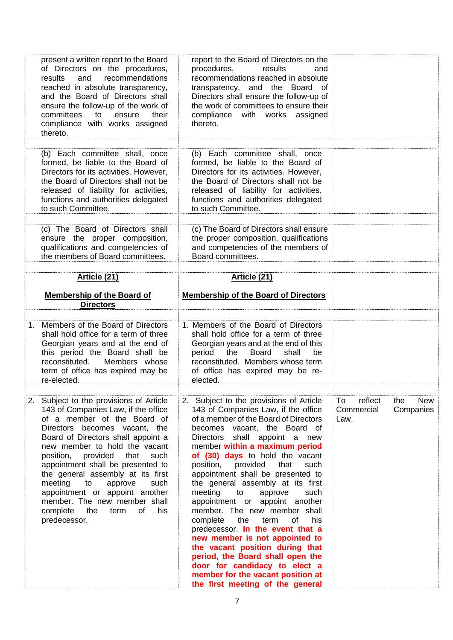| present a written report to the Board<br>of Directors on the procedures,                                                                                                                                                               |                                                                                                                                                                                                                                                                                      |                             |
|----------------------------------------------------------------------------------------------------------------------------------------------------------------------------------------------------------------------------------------|--------------------------------------------------------------------------------------------------------------------------------------------------------------------------------------------------------------------------------------------------------------------------------------|-----------------------------|
| recommendations<br>and<br>results<br>reached in absolute transparency,<br>and the Board of Directors shall<br>ensure the follow-up of the work of<br>committees<br>to<br>ensure<br>their<br>compliance with works assigned<br>thereto. | report to the Board of Directors on the<br>procedures,<br>results<br>and<br>recommendations reached in absolute<br>transparency, and the Board of<br>Directors shall ensure the follow-up of<br>the work of committees to ensure their<br>compliance with works assigned<br>thereto. |                             |
| (b) Each committee shall, once                                                                                                                                                                                                         | (b) Each committee shall, once                                                                                                                                                                                                                                                       |                             |
| formed, be liable to the Board of<br>Directors for its activities. However,<br>the Board of Directors shall not be<br>released of liability for activities,<br>functions and authorities delegated<br>to such Committee.               | formed, be liable to the Board of<br>Directors for its activities. However,<br>the Board of Directors shall not be<br>released of liability for activities,<br>functions and authorities delegated<br>to such Committee.                                                             |                             |
| (c) The Board of Directors shall                                                                                                                                                                                                       | (c) The Board of Directors shall ensure                                                                                                                                                                                                                                              |                             |
| ensure the proper composition,<br>qualifications and competencies of<br>the members of Board committees.                                                                                                                               | the proper composition, qualifications<br>and competencies of the members of<br>Board committees.                                                                                                                                                                                    |                             |
| Article (21)                                                                                                                                                                                                                           | Article (21)                                                                                                                                                                                                                                                                         |                             |
| <b>Membership of the Board of</b><br><b>Directors</b>                                                                                                                                                                                  | <b>Membership of the Board of Directors</b>                                                                                                                                                                                                                                          |                             |
| Members of the Board of Directors<br>1 <sup>1</sup><br>shall hold office for a term of three                                                                                                                                           | 1. Members of the Board of Directors<br>shall hold office for a term of three                                                                                                                                                                                                        |                             |
| Georgian years and at the end of<br>this period the Board shall be<br>reconstituted.<br>Members whose<br>term of office has expired may be<br>re-elected.                                                                              | Georgian years and at the end of this<br>period<br>the<br><b>Board</b><br>shall<br>be<br>reconstituted. Members whose term<br>of office has expired may be re-<br>elected.                                                                                                           |                             |
| 2.<br>Subject to the provisions of Article                                                                                                                                                                                             | Subject to the provisions of Article<br>2.                                                                                                                                                                                                                                           | reflect<br>To<br>New<br>the |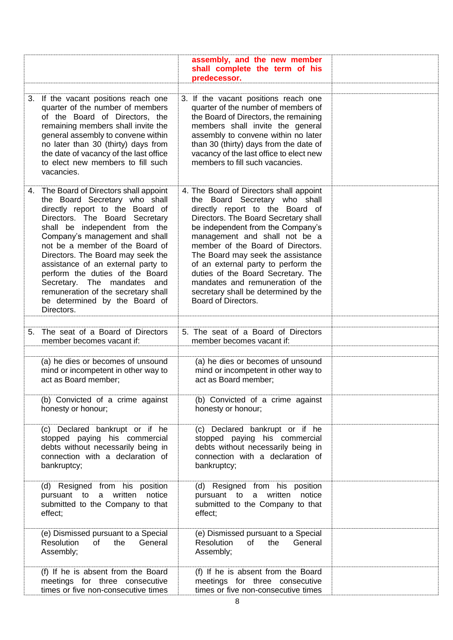|                                                                                                                                                                                                                                                                                                                                                                                                                                                                                        | assembly, and the new member<br>shall complete the term of his<br>predecessor.                                                                                                                                                                                                                                                                                                                                                                                                      |  |
|----------------------------------------------------------------------------------------------------------------------------------------------------------------------------------------------------------------------------------------------------------------------------------------------------------------------------------------------------------------------------------------------------------------------------------------------------------------------------------------|-------------------------------------------------------------------------------------------------------------------------------------------------------------------------------------------------------------------------------------------------------------------------------------------------------------------------------------------------------------------------------------------------------------------------------------------------------------------------------------|--|
| 3. If the vacant positions reach one<br>quarter of the number of members<br>of the Board of Directors, the<br>remaining members shall invite the<br>general assembly to convene within<br>no later than 30 (thirty) days from<br>the date of vacancy of the last office<br>to elect new members to fill such<br>vacancies.                                                                                                                                                             | 3. If the vacant positions reach one<br>quarter of the number of members of<br>the Board of Directors, the remaining<br>members shall invite the general<br>assembly to convene within no later<br>than 30 (thirty) days from the date of<br>vacancy of the last office to elect new<br>members to fill such vacancies.                                                                                                                                                             |  |
| 4. The Board of Directors shall appoint<br>the Board Secretary who shall<br>directly report to the Board of<br>Directors. The Board Secretary<br>shall be independent from the<br>Company's management and shall<br>not be a member of the Board of<br>Directors. The Board may seek the<br>assistance of an external party to<br>perform the duties of the Board<br>Secretary. The mandates and<br>remuneration of the secretary shall<br>be determined by the Board of<br>Directors. | 4. The Board of Directors shall appoint<br>the Board Secretary who shall<br>directly report to the Board of<br>Directors. The Board Secretary shall<br>be independent from the Company's<br>management and shall not be a<br>member of the Board of Directors.<br>The Board may seek the assistance<br>of an external party to perform the<br>duties of the Board Secretary. The<br>mandates and remuneration of the<br>secretary shall be determined by the<br>Board of Directors. |  |
| The seat of a Board of Directors<br>5.                                                                                                                                                                                                                                                                                                                                                                                                                                                 | 5. The seat of a Board of Directors                                                                                                                                                                                                                                                                                                                                                                                                                                                 |  |
| member becomes vacant if:                                                                                                                                                                                                                                                                                                                                                                                                                                                              | member becomes vacant if:                                                                                                                                                                                                                                                                                                                                                                                                                                                           |  |
| (a) he dies or becomes of unsound<br>mind or incompetent in other way to<br>act as Board member;                                                                                                                                                                                                                                                                                                                                                                                       | (a) he dies or becomes of unsound<br>mind or incompetent in other way to<br>act as Board member;                                                                                                                                                                                                                                                                                                                                                                                    |  |
| (b) Convicted of a crime against<br>honesty or honour;                                                                                                                                                                                                                                                                                                                                                                                                                                 | (b) Convicted of a crime against<br>honesty or honour;                                                                                                                                                                                                                                                                                                                                                                                                                              |  |
| (c) Declared bankrupt or if he<br>stopped paying his commercial<br>debts without necessarily being in<br>connection with a declaration of<br>bankruptcy;                                                                                                                                                                                                                                                                                                                               | (c) Declared bankrupt or if he<br>stopped paying his commercial<br>debts without necessarily being in<br>connection with a declaration of<br>bankruptcy;                                                                                                                                                                                                                                                                                                                            |  |
| (d) Resigned from his position<br>a written<br>notice<br>pursuant to<br>submitted to the Company to that<br>effect;                                                                                                                                                                                                                                                                                                                                                                    | (d) Resigned from his position<br>a written<br>notice<br>pursuant to<br>submitted to the Company to that<br>effect;                                                                                                                                                                                                                                                                                                                                                                 |  |
| (e) Dismissed pursuant to a Special<br>Resolution<br>of<br>General<br>the<br>Assembly;                                                                                                                                                                                                                                                                                                                                                                                                 | (e) Dismissed pursuant to a Special<br>the<br><b>Resolution</b><br>of<br>General<br>Assembly;                                                                                                                                                                                                                                                                                                                                                                                       |  |
| (f) If he is absent from the Board<br>meetings for three consecutive<br>times or five non-consecutive times                                                                                                                                                                                                                                                                                                                                                                            | (f) If he is absent from the Board<br>meetings for three consecutive<br>times or five non-consecutive times                                                                                                                                                                                                                                                                                                                                                                         |  |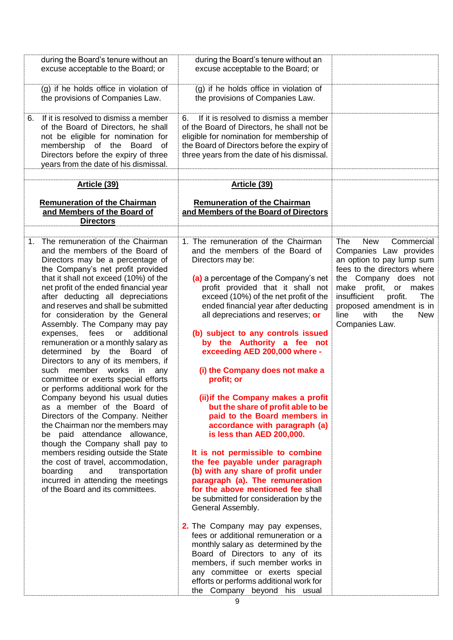|             | during the Board's tenure without an<br>excuse acceptable to the Board; or                                                                                                                                                                                                                                                                                                                                                                                                                                                                                                                                                                                                                                                                                                                                                                                                                                                                                                                                                                                         | during the Board's tenure without an<br>excuse acceptable to the Board; or                                                                                                                                                                                                                                                                                                                                                                                                                                                                                                                                                                                                                                                                                                                                                                                                                                                                                                                                                                                                                                                                                                                   |                                                                                                                                                                                                                                                                                                |
|-------------|--------------------------------------------------------------------------------------------------------------------------------------------------------------------------------------------------------------------------------------------------------------------------------------------------------------------------------------------------------------------------------------------------------------------------------------------------------------------------------------------------------------------------------------------------------------------------------------------------------------------------------------------------------------------------------------------------------------------------------------------------------------------------------------------------------------------------------------------------------------------------------------------------------------------------------------------------------------------------------------------------------------------------------------------------------------------|----------------------------------------------------------------------------------------------------------------------------------------------------------------------------------------------------------------------------------------------------------------------------------------------------------------------------------------------------------------------------------------------------------------------------------------------------------------------------------------------------------------------------------------------------------------------------------------------------------------------------------------------------------------------------------------------------------------------------------------------------------------------------------------------------------------------------------------------------------------------------------------------------------------------------------------------------------------------------------------------------------------------------------------------------------------------------------------------------------------------------------------------------------------------------------------------|------------------------------------------------------------------------------------------------------------------------------------------------------------------------------------------------------------------------------------------------------------------------------------------------|
|             | (g) if he holds office in violation of<br>the provisions of Companies Law.                                                                                                                                                                                                                                                                                                                                                                                                                                                                                                                                                                                                                                                                                                                                                                                                                                                                                                                                                                                         | (g) if he holds office in violation of<br>the provisions of Companies Law.                                                                                                                                                                                                                                                                                                                                                                                                                                                                                                                                                                                                                                                                                                                                                                                                                                                                                                                                                                                                                                                                                                                   |                                                                                                                                                                                                                                                                                                |
| 6.          | If it is resolved to dismiss a member<br>of the Board of Directors, he shall<br>not be eligible for nomination for<br>membership of the Board of<br>Directors before the expiry of three<br>years from the date of his dismissal.                                                                                                                                                                                                                                                                                                                                                                                                                                                                                                                                                                                                                                                                                                                                                                                                                                  | If it is resolved to dismiss a member<br>6.<br>of the Board of Directors, he shall not be<br>eligible for nomination for membership of<br>the Board of Directors before the expiry of<br>three years from the date of his dismissal.                                                                                                                                                                                                                                                                                                                                                                                                                                                                                                                                                                                                                                                                                                                                                                                                                                                                                                                                                         |                                                                                                                                                                                                                                                                                                |
|             | Article (39)                                                                                                                                                                                                                                                                                                                                                                                                                                                                                                                                                                                                                                                                                                                                                                                                                                                                                                                                                                                                                                                       | Article (39)                                                                                                                                                                                                                                                                                                                                                                                                                                                                                                                                                                                                                                                                                                                                                                                                                                                                                                                                                                                                                                                                                                                                                                                 |                                                                                                                                                                                                                                                                                                |
|             | <b>Remuneration of the Chairman</b><br>and Members of the Board of<br><b>Directors</b>                                                                                                                                                                                                                                                                                                                                                                                                                                                                                                                                                                                                                                                                                                                                                                                                                                                                                                                                                                             | <b>Remuneration of the Chairman</b><br>and Members of the Board of Directors                                                                                                                                                                                                                                                                                                                                                                                                                                                                                                                                                                                                                                                                                                                                                                                                                                                                                                                                                                                                                                                                                                                 |                                                                                                                                                                                                                                                                                                |
| $1_{\cdot}$ | The remuneration of the Chairman<br>and the members of the Board of<br>Directors may be a percentage of<br>the Company's net profit provided<br>that it shall not exceed (10%) of the<br>net profit of the ended financial year<br>after deducting all depreciations<br>and reserves and shall be submitted<br>for consideration by the General<br>Assembly. The Company may pay<br>expenses, fees<br>or<br>additional<br>remuneration or a monthly salary as<br>by the Board of<br>determined<br>Directors to any of its members, if<br>such member<br>works<br>in<br>any<br>committee or exerts special efforts<br>or performs additional work for the<br>Company beyond his usual duties<br>as a member of the Board of<br>Directors of the Company. Neither<br>the Chairman nor the members may<br>be paid attendance allowance,<br>though the Company shall pay to<br>members residing outside the State<br>the cost of travel, accommodation,<br>boarding<br>and<br>transportation<br>incurred in attending the meetings<br>of the Board and its committees. | 1. The remuneration of the Chairman<br>and the members of the Board of<br>Directors may be:<br>(a) a percentage of the Company's net<br>profit provided that it shall not<br>exceed (10%) of the net profit of the<br>ended financial year after deducting<br>all depreciations and reserves; or<br>(b) subject to any controls issued<br>by the Authority a fee not<br>exceeding AED 200,000 where -<br>(i) the Company does not make a<br>profit; or<br>(ii) if the Company makes a profit<br>but the share of profit able to be<br>paid to the Board members in<br>accordance with paragraph (a)<br>is less than AED 200,000.<br>It is not permissible to combine<br>the fee payable under paragraph<br>(b) with any share of profit under<br>paragraph (a). The remuneration<br>for the above mentioned fee shall<br>be submitted for consideration by the<br>General Assembly.<br>2. The Company may pay expenses,<br>fees or additional remuneration or a<br>monthly salary as determined by the<br>Board of Directors to any of its<br>members, if such member works in<br>any committee or exerts special<br>efforts or performs additional work for<br>the Company beyond his usual | <b>New</b><br>Commercial<br>The<br>Companies Law provides<br>an option to pay lump sum<br>fees to the directors where<br>the Company does not<br>make profit,<br>or makes<br>insufficient<br>profit.<br>The<br>proposed amendment is in<br>line<br>with<br>the<br><b>New</b><br>Companies Law. |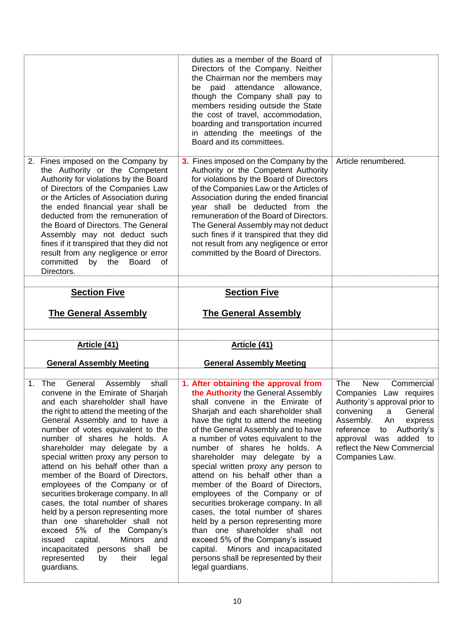|                                                                                                                                                                                                                                                                                                                                                                                                                                                                                            | duties as a member of the Board of<br>Directors of the Company. Neither<br>the Chairman nor the members may<br>be paid attendance allowance,<br>though the Company shall pay to<br>members residing outside the State<br>the cost of travel, accommodation,<br>boarding and transportation incurred<br>in attending the meetings of the<br>Board and its committees.                                                                                                 |                     |
|--------------------------------------------------------------------------------------------------------------------------------------------------------------------------------------------------------------------------------------------------------------------------------------------------------------------------------------------------------------------------------------------------------------------------------------------------------------------------------------------|----------------------------------------------------------------------------------------------------------------------------------------------------------------------------------------------------------------------------------------------------------------------------------------------------------------------------------------------------------------------------------------------------------------------------------------------------------------------|---------------------|
| 2. Fines imposed on the Company by<br>the Authority or the Competent<br>Authority for violations by the Board<br>of Directors of the Companies Law<br>or the Articles of Association during<br>the ended financial year shall be<br>deducted from the remuneration of<br>the Board of Directors. The General<br>Assembly may not deduct such<br>fines if it transpired that they did not<br>result from any negligence or error<br>committed<br>by the<br><b>Board</b><br>0f<br>Directors. | 3. Fines imposed on the Company by the<br>Authority or the Competent Authority<br>for violations by the Board of Directors<br>of the Companies Law or the Articles of<br>Association during the ended financial<br>year shall be deducted from the<br>remuneration of the Board of Directors.<br>The General Assembly may not deduct<br>such fines if it transpired that they did<br>not result from any negligence or error<br>committed by the Board of Directors. | Article renumbered. |
| <b>Section Five</b>                                                                                                                                                                                                                                                                                                                                                                                                                                                                        | <b>Section Five</b>                                                                                                                                                                                                                                                                                                                                                                                                                                                  |                     |
| <b>The General Assembly</b>                                                                                                                                                                                                                                                                                                                                                                                                                                                                | <b>The General Assembly</b>                                                                                                                                                                                                                                                                                                                                                                                                                                          |                     |
|                                                                                                                                                                                                                                                                                                                                                                                                                                                                                            |                                                                                                                                                                                                                                                                                                                                                                                                                                                                      |                     |
| Article (41)                                                                                                                                                                                                                                                                                                                                                                                                                                                                               | Article (41)                                                                                                                                                                                                                                                                                                                                                                                                                                                         |                     |
|                                                                                                                                                                                                                                                                                                                                                                                                                                                                                            |                                                                                                                                                                                                                                                                                                                                                                                                                                                                      |                     |
| <b>General Assembly Meeting</b><br>Assembly<br>shall                                                                                                                                                                                                                                                                                                                                                                                                                                       | <b>General Assembly Meeting</b><br>1. After obtaining the approval from                                                                                                                                                                                                                                                                                                                                                                                              | The<br>Commercial   |